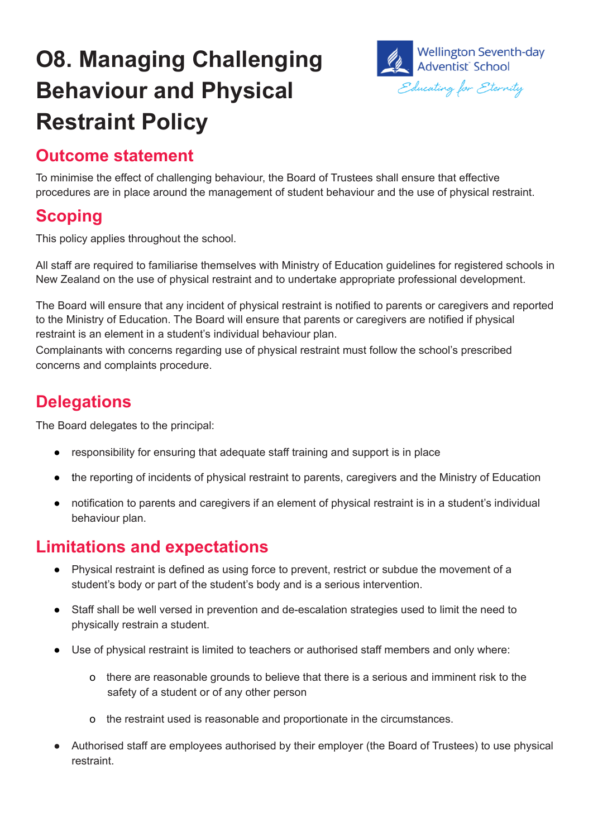# **O8. Managing Challenging Behaviour and Physical Restraint Policy**



## **Outcome statement**

To minimise the effect of challenging behaviour, the Board of Trustees shall ensure that effective procedures are in place around the management of student behaviour and the use of physical restraint.

## **Scoping**

This policy applies throughout the school.

All staff are required to familiarise themselves with Ministry of Education guidelines for registered schools in New Zealand on the use of physical restraint and to undertake appropriate professional development.

The Board will ensure that any incident of physical restraint is notified to parents or caregivers and reported to the Ministry of Education. The Board will ensure that parents or caregivers are notified if physical restraint is an element in a student's individual behaviour plan.

Complainants with concerns regarding use of physical restraint must follow the school's prescribed concerns and complaints procedure.

# **Delegations**

The Board delegates to the principal:

- responsibility for ensuring that adequate staff training and support is in place
- the reporting of incidents of physical restraint to parents, caregivers and the Ministry of Education
- notification to parents and caregivers if an element of physical restraint is in a student's individual behaviour plan.

#### **Limitations and expectations**

- Physical restraint is defined as using force to prevent, restrict or subdue the movement of a student's body or part of the student's body and is a serious intervention.
- Staff shall be well versed in prevention and de-escalation strategies used to limit the need to physically restrain a student.
- Use of physical restraint is limited to teachers or authorised staff members and only where:
	- o there are reasonable grounds to believe that there is a serious and imminent risk to the safety of a student or of any other person
	- o the restraint used is reasonable and proportionate in the circumstances.
- Authorised staff are employees authorised by their employer (the Board of Trustees) to use physical restraint.